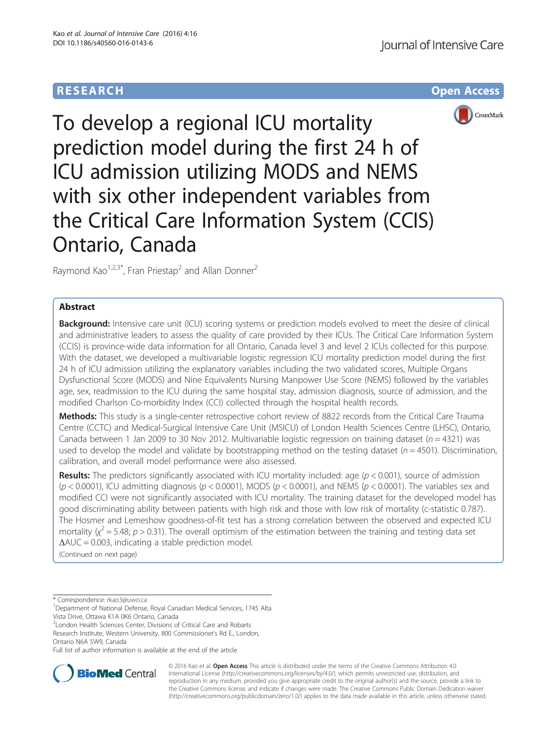# **RESEARCH CHE Open Access**



To develop a regional ICU mortality prediction model during the first 24 h of ICU admission utilizing MODS and NEMS with six other independent variables from the Critical Care Information System (CCIS) Ontario, Canada

Raymond Kao<sup>1,2,3\*</sup>, Fran Priestap<sup>2</sup> and Allan Donner<sup>2</sup>

# Abstract

**Background:** Intensive care unit (ICU) scoring systems or prediction models evolved to meet the desire of clinical and administrative leaders to assess the quality of care provided by their ICUs. The Critical Care Information System (CCIS) is province-wide data information for all Ontario, Canada level 3 and level 2 ICUs collected for this purpose. With the dataset, we developed a multivariable logistic regression ICU mortality prediction model during the first 24 h of ICU admission utilizing the explanatory variables including the two validated scores, Multiple Organs Dysfunctional Score (MODS) and Nine Equivalents Nursing Manpower Use Score (NEMS) followed by the variables age, sex, readmission to the ICU during the same hospital stay, admission diagnosis, source of admission, and the modified Charlson Co-morbidity Index (CCI) collected through the hospital health records.

Methods: This study is a single-center retrospective cohort review of 8822 records from the Critical Care Trauma Centre (CCTC) and Medical-Surgical Intensive Care Unit (MSICU) of London Health Sciences Centre (LHSC), Ontario, Canada between 1 Jan 2009 to 30 Nov 2012. Multivariable logistic regression on training dataset ( $n = 4321$ ) was used to develop the model and validate by bootstrapping method on the testing dataset ( $n = 4501$ ). Discrimination, calibration, and overall model performance were also assessed.

**Results:** The predictors significantly associated with ICU mortality included: age ( $p < 0.001$ ), source of admission  $(p < 0.0001)$ , ICU admitting diagnosis  $(p < 0.0001)$ , MODS  $(p < 0.0001)$ , and NEMS  $(p < 0.0001)$ . The variables sex and modified CCI were not significantly associated with ICU mortality. The training dataset for the developed model has good discriminating ability between patients with high risk and those with low risk of mortality (c-statistic 0.787). The Hosmer and Lemeshow goodness-of-fit test has a strong correlation between the observed and expected ICU mortality ( $\chi^2$  = 5.48; p > 0.31). The overall optimism of the estimation between the training and testing data set  $\Delta AUC = 0.003$ , indicating a stable prediction model.

(Continued on next page)

\* Correspondence: [rkao3@uwo.ca](mailto:rkao3@uwo.ca) <sup>1</sup>

<sup>1</sup>Department of National Defense, Royal Canadian Medical Services, 1745 Alta Vista Drive, Ottawa K1A 0K6 Ontario, Canada

<sup>2</sup> London Health Sciences Center, Divisions of Critical Care and Robarts

Research Institute, Western University, 800 Commissioner's Rd E., London, Ontario N6A 5W9, Canada

Full list of author information is available at the end of the article



© 2016 Kao et al. Open Access This article is distributed under the terms of the Creative Commons Attribution 4.0 International License [\(http://creativecommons.org/licenses/by/4.0/](http://creativecommons.org/licenses/by/4.0/)), which permits unrestricted use, distribution, and reproduction in any medium, provided you give appropriate credit to the original author(s) and the source, provide a link to the Creative Commons license, and indicate if changes were made. The Creative Commons Public Domain Dedication waiver [\(http://creativecommons.org/publicdomain/zero/1.0/](http://creativecommons.org/publicdomain/zero/1.0/)) applies to the data made available in this article, unless otherwise stated.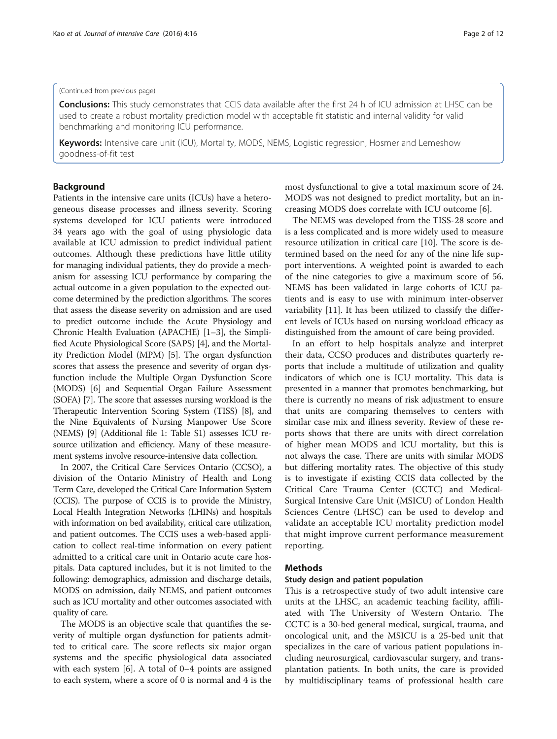#### (Continued from previous page)

Conclusions: This study demonstrates that CCIS data available after the first 24 h of ICU admission at LHSC can be used to create a robust mortality prediction model with acceptable fit statistic and internal validity for valid benchmarking and monitoring ICU performance.

Keywords: Intensive care unit (ICU), Mortality, MODS, NEMS, Logistic regression, Hosmer and Lemeshow goodness-of-fit test

## Background

Patients in the intensive care units (ICUs) have a heterogeneous disease processes and illness severity. Scoring systems developed for ICU patients were introduced 34 years ago with the goal of using physiologic data available at ICU admission to predict individual patient outcomes. Although these predictions have little utility for managing individual patients, they do provide a mechanism for assessing ICU performance by comparing the actual outcome in a given population to the expected outcome determined by the prediction algorithms. The scores that assess the disease severity on admission and are used to predict outcome include the Acute Physiology and Chronic Health Evaluation (APACHE) [[1](#page-10-0)–[3](#page-10-0)], the Simplified Acute Physiological Score (SAPS) [\[4\]](#page-10-0), and the Mortality Prediction Model (MPM) [[5\]](#page-10-0). The organ dysfunction scores that assess the presence and severity of organ dysfunction include the Multiple Organ Dysfunction Score (MODS) [[6\]](#page-10-0) and Sequential Organ Failure Assessment (SOFA) [\[7\]](#page-10-0). The score that assesses nursing workload is the Therapeutic Intervention Scoring System (TISS) [[8](#page-10-0)], and the Nine Equivalents of Nursing Manpower Use Score (NEMS) [\[9\]](#page-10-0) (Additional file [1](#page-9-0): Table S1) assesses ICU resource utilization and efficiency. Many of these measurement systems involve resource-intensive data collection.

In 2007, the Critical Care Services Ontario (CCSO), a division of the Ontario Ministry of Health and Long Term Care, developed the Critical Care Information System (CCIS). The purpose of CCIS is to provide the Ministry, Local Health Integration Networks (LHINs) and hospitals with information on bed availability, critical care utilization, and patient outcomes. The CCIS uses a web-based application to collect real-time information on every patient admitted to a critical care unit in Ontario acute care hospitals. Data captured includes, but it is not limited to the following: demographics, admission and discharge details, MODS on admission, daily NEMS, and patient outcomes such as ICU mortality and other outcomes associated with quality of care.

The MODS is an objective scale that quantifies the severity of multiple organ dysfunction for patients admitted to critical care. The score reflects six major organ systems and the specific physiological data associated with each system [\[6](#page-10-0)]. A total of 0–4 points are assigned to each system, where a score of 0 is normal and 4 is the

most dysfunctional to give a total maximum score of 24. MODS was not designed to predict mortality, but an increasing MODS does correlate with ICU outcome [[6\]](#page-10-0).

The NEMS was developed from the TISS-28 score and is a less complicated and is more widely used to measure resource utilization in critical care [\[10\]](#page-10-0). The score is determined based on the need for any of the nine life support interventions. A weighted point is awarded to each of the nine categories to give a maximum score of 56. NEMS has been validated in large cohorts of ICU patients and is easy to use with minimum inter-observer variability [\[11](#page-10-0)]. It has been utilized to classify the different levels of ICUs based on nursing workload efficacy as distinguished from the amount of care being provided.

In an effort to help hospitals analyze and interpret their data, CCSO produces and distributes quarterly reports that include a multitude of utilization and quality indicators of which one is ICU mortality. This data is presented in a manner that promotes benchmarking, but there is currently no means of risk adjustment to ensure that units are comparing themselves to centers with similar case mix and illness severity. Review of these reports shows that there are units with direct correlation of higher mean MODS and ICU mortality, but this is not always the case. There are units with similar MODS but differing mortality rates. The objective of this study is to investigate if existing CCIS data collected by the Critical Care Trauma Center (CCTC) and Medical-Surgical Intensive Care Unit (MSICU) of London Health Sciences Centre (LHSC) can be used to develop and validate an acceptable ICU mortality prediction model that might improve current performance measurement reporting.

## Methods

## Study design and patient population

This is a retrospective study of two adult intensive care units at the LHSC, an academic teaching facility, affiliated with The University of Western Ontario. The CCTC is a 30-bed general medical, surgical, trauma, and oncological unit, and the MSICU is a 25-bed unit that specializes in the care of various patient populations including neurosurgical, cardiovascular surgery, and transplantation patients. In both units, the care is provided by multidisciplinary teams of professional health care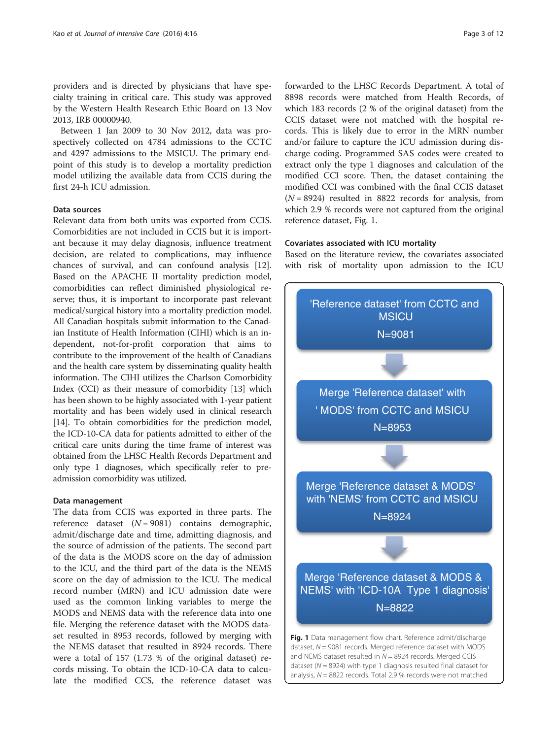providers and is directed by physicians that have specialty training in critical care. This study was approved by the Western Health Research Ethic Board on 13 Nov 2013, IRB 00000940.

Between 1 Jan 2009 to 30 Nov 2012, data was prospectively collected on 4784 admissions to the CCTC and 4297 admissions to the MSICU. The primary endpoint of this study is to develop a mortality prediction model utilizing the available data from CCIS during the first 24-h ICU admission.

## Data sources

Relevant data from both units was exported from CCIS. Comorbidities are not included in CCIS but it is important because it may delay diagnosis, influence treatment decision, are related to complications, may influence chances of survival, and can confound analysis [\[12](#page-10-0)]. Based on the APACHE II mortality prediction model, comorbidities can reflect diminished physiological reserve; thus, it is important to incorporate past relevant medical/surgical history into a mortality prediction model. All Canadian hospitals submit information to the Canadian Institute of Health Information (CIHI) which is an independent, not-for-profit corporation that aims to contribute to the improvement of the health of Canadians and the health care system by disseminating quality health information. The CIHI utilizes the Charlson Comorbidity Index (CCI) as their measure of comorbidity [[13](#page-10-0)] which has been shown to be highly associated with 1-year patient mortality and has been widely used in clinical research [[14](#page-10-0)]. To obtain comorbidities for the prediction model, the ICD-10-CA data for patients admitted to either of the critical care units during the time frame of interest was obtained from the LHSC Health Records Department and only type 1 diagnoses, which specifically refer to preadmission comorbidity was utilized.

#### Data management

The data from CCIS was exported in three parts. The reference dataset  $(N = 9081)$  contains demographic, admit/discharge date and time, admitting diagnosis, and the source of admission of the patients. The second part of the data is the MODS score on the day of admission to the ICU, and the third part of the data is the NEMS score on the day of admission to the ICU. The medical record number (MRN) and ICU admission date were used as the common linking variables to merge the MODS and NEMS data with the reference data into one file. Merging the reference dataset with the MODS dataset resulted in 8953 records, followed by merging with the NEMS dataset that resulted in 8924 records. There were a total of 157 (1.73 % of the original dataset) records missing. To obtain the ICD-10-CA data to calculate the modified CCS, the reference dataset was

forwarded to the LHSC Records Department. A total of 8898 records were matched from Health Records, of which 183 records (2 % of the original dataset) from the CCIS dataset were not matched with the hospital records. This is likely due to error in the MRN number and/or failure to capture the ICU admission during discharge coding. Programmed SAS codes were created to extract only the type 1 diagnoses and calculation of the modified CCI score. Then, the dataset containing the modified CCI was combined with the final CCIS dataset  $(N = 8924)$  resulted in 8822 records for analysis, from which 2.9 % records were not captured from the original reference dataset, Fig. 1.

## Covariates associated with ICU mortality

Based on the literature review, the covariates associated with risk of mortality upon admission to the ICU

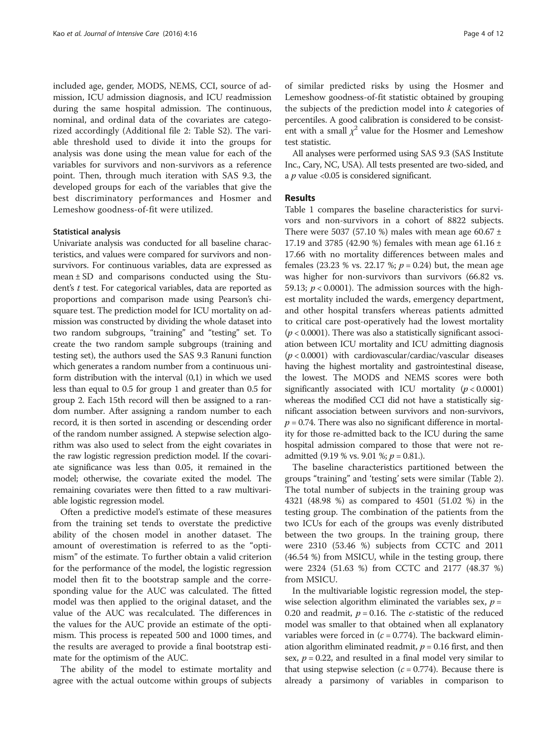included age, gender, MODS, NEMS, CCI, source of admission, ICU admission diagnosis, and ICU readmission during the same hospital admission. The continuous, nominal, and ordinal data of the covariates are categorized accordingly (Additional file [2:](#page-9-0) Table S2). The variable threshold used to divide it into the groups for analysis was done using the mean value for each of the variables for survivors and non-survivors as a reference point. Then, through much iteration with SAS 9.3, the developed groups for each of the variables that give the best discriminatory performances and Hosmer and Lemeshow goodness-of-fit were utilized.

#### Statistical analysis

Univariate analysis was conducted for all baseline characteristics, and values were compared for survivors and nonsurvivors. For continuous variables, data are expressed as mean  $\pm$  SD and comparisons conducted using the Student's t test. For categorical variables, data are reported as proportions and comparison made using Pearson's chisquare test. The prediction model for ICU mortality on admission was constructed by dividing the whole dataset into two random subgroups, "training" and "testing" set. To create the two random sample subgroups (training and testing set), the authors used the SAS 9.3 Ranuni function which generates a random number from a continuous uniform distribution with the interval (0,1) in which we used less than equal to 0.5 for group 1 and greater than 0.5 for group 2. Each 15th record will then be assigned to a random number. After assigning a random number to each record, it is then sorted in ascending or descending order of the random number assigned. A stepwise selection algorithm was also used to select from the eight covariates in the raw logistic regression prediction model. If the covariate significance was less than 0.05, it remained in the model; otherwise, the covariate exited the model. The remaining covariates were then fitted to a raw multivariable logistic regression model.

Often a predictive model's estimate of these measures from the training set tends to overstate the predictive ability of the chosen model in another dataset. The amount of overestimation is referred to as the "optimism" of the estimate. To further obtain a valid criterion for the performance of the model, the logistic regression model then fit to the bootstrap sample and the corresponding value for the AUC was calculated. The fitted model was then applied to the original dataset, and the value of the AUC was recalculated. The differences in the values for the AUC provide an estimate of the optimism. This process is repeated 500 and 1000 times, and the results are averaged to provide a final bootstrap estimate for the optimism of the AUC.

The ability of the model to estimate mortality and agree with the actual outcome within groups of subjects of similar predicted risks by using the Hosmer and Lemeshow goodness-of-fit statistic obtained by grouping the subjects of the prediction model into  $k$  categories of percentiles. A good calibration is considered to be consistent with a small  $\chi^2$  value for the Hosmer and Lemeshow test statistic.

All analyses were performed using SAS 9.3 (SAS Institute Inc., Cary, NC, USA). All tests presented are two-sided, and a  $p$  value <0.05 is considered significant.

## Results

Table [1](#page-4-0) compares the baseline characteristics for survivors and non-survivors in a cohort of 8822 subjects. There were 5037 (57.10 %) males with mean age 60.67  $\pm$ 17.19 and 3785 (42.90 %) females with mean age 61.16  $\pm$ 17.66 with no mortality differences between males and females (23.23 % vs. 22.17 %;  $p = 0.24$ ) but, the mean age was higher for non-survivors than survivors (66.82 vs. 59.13;  $p < 0.0001$ ). The admission sources with the highest mortality included the wards, emergency department, and other hospital transfers whereas patients admitted to critical care post-operatively had the lowest mortality  $(p < 0.0001)$ . There was also a statistically significant association between ICU mortality and ICU admitting diagnosis  $(p < 0.0001)$  with cardiovascular/cardiac/vascular diseases having the highest mortality and gastrointestinal disease, the lowest. The MODS and NEMS scores were both significantly associated with ICU mortality  $(p < 0.0001)$ whereas the modified CCI did not have a statistically significant association between survivors and non-survivors,  $p = 0.74$ . There was also no significant difference in mortality for those re-admitted back to the ICU during the same hospital admission compared to those that were not readmitted (9.19 % vs. 9.01 %;  $p = 0.81$ .).

The baseline characteristics partitioned between the groups "training" and 'testing' sets were similar (Table [2](#page-5-0)). The total number of subjects in the training group was 4321 (48.98 %) as compared to 4501 (51.02 %) in the testing group. The combination of the patients from the two ICUs for each of the groups was evenly distributed between the two groups. In the training group, there were 2310 (53.46 %) subjects from CCTC and 2011 (46.54 %) from MSICU, while in the testing group, there were 2324 (51.63 %) from CCTC and 2177 (48.37 %) from MSICU.

In the multivariable logistic regression model, the stepwise selection algorithm eliminated the variables sex,  $p =$ 0.20 and readmit,  $p = 0.16$ . The *c*-statistic of the reduced model was smaller to that obtained when all explanatory variables were forced in  $(c = 0.774)$ . The backward elimination algorithm eliminated readmit,  $p = 0.16$  first, and then sex,  $p = 0.22$ , and resulted in a final model very similar to that using stepwise selection ( $c = 0.774$ ). Because there is already a parsimony of variables in comparison to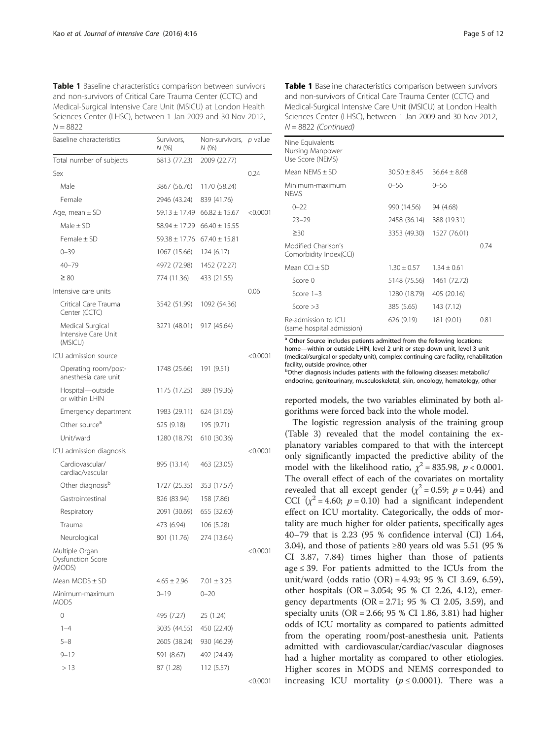<span id="page-4-0"></span>Table 1 Baseline characteristics comparison between survivors and non-survivors of Critical Care Trauma Center (CCTC) and Medical-Surgical Intensive Care Unit (MSICU) at London Health Sciences Center (LHSC), between 1 Jan 2009 and 30 Nov 2012,  $N = 8822$ 

| Baseline characteristics                           | Survivors,<br>Non-survivors, p value<br>N (%)<br>N (%) |                   |            |  |
|----------------------------------------------------|--------------------------------------------------------|-------------------|------------|--|
| Total number of subjects                           | 6813 (77.23)                                           | 2009 (22.77)      |            |  |
| Sex                                                |                                                        |                   | 0.24       |  |
| Male                                               | 3867 (56.76)                                           | 1170 (58.24)      |            |  |
| Female                                             | 2946 (43.24)                                           | 839 (41.76)       |            |  |
| Age, mean $\pm$ SD                                 | $59.13 \pm 17.49$                                      | $66.82 \pm 15.67$ | < 0.0001   |  |
| Male $\pm$ SD                                      | $58.94 \pm 17.29$                                      | $66.40 \pm 15.55$ |            |  |
| Female $\pm$ SD                                    | $59.38 \pm 17.76$                                      | $67.40 \pm 15.81$ |            |  |
| $0 - 39$                                           | 1067 (15.66)                                           | 124 (6.17)        |            |  |
| $40 - 79$                                          | 4972 (72.98)                                           | 1452 (72.27)      |            |  |
| $\geq 80$                                          | 774 (11.36)                                            | 433 (21.55)       |            |  |
| Intensive care units                               |                                                        |                   | 0.06       |  |
| Critical Care Trauma<br>Center (CCTC)              | 3542 (51.99)                                           | 1092 (54.36)      |            |  |
| Medical Surgical<br>Intensive Care Unit<br>(MSICU) | 3271 (48.01)                                           | 917 (45.64)       |            |  |
| ICU admission source                               |                                                        |                   | < 0.0001   |  |
| Operating room/post-<br>anesthesia care unit       | 1748 (25.66)                                           | 191 (9.51)        |            |  |
| Hospital-outside<br>or within I HIN                | 1175 (17.25)                                           | 389 (19.36)       |            |  |
| Emergency department                               | 1983 (29.11)                                           | 624 (31.06)       |            |  |
| Other source <sup>a</sup>                          | 625 (9.18)                                             | 195 (9.71)        |            |  |
| Unit/ward                                          | 1280 (18.79)                                           | 610 (30.36)       |            |  |
| ICU admission diagnosis                            |                                                        |                   | < 0.0001   |  |
| Cardiovascular/<br>cardiac/vascular                | 895 (13.14)                                            | 463 (23.05)       |            |  |
| Other diagnosis <sup>b</sup>                       | 1727 (25.35)                                           | 353 (17.57)       |            |  |
| Gastrointestinal                                   | 826 (83.94)                                            | 158 (7.86)        |            |  |
| Respiratory                                        | 2091 (30.69)                                           | 655 (32.60)       |            |  |
| Trauma                                             | 473 (6.94)                                             | 106 (5.28)        |            |  |
| Neurological                                       | 801 (11.76)                                            | 274 (13.64)       |            |  |
| Multiple Organ<br>Dysfunction Score<br>(MODS)      |                                                        |                   | $<$ 0.0001 |  |
| Mean $MODS \pm SD$                                 | $4.65 \pm 2.96$                                        | $7.01 \pm 3.23$   |            |  |
| Minimum-maximum<br><b>MODS</b>                     | $0 - 19$                                               | $0 - 20$          |            |  |
| 0                                                  | 495 (7.27)                                             | 25 (1.24)         |            |  |
| $1 - 4$                                            | 3035 (44.55)                                           | 450 (22.40)       |            |  |
| 5–8                                                | 2605 (38.24)                                           | 930 (46.29)       |            |  |
| $9 - 12$                                           | 591 (8.67)                                             | 492 (24.49)       |            |  |
| >13                                                | 87 (1.28)                                              | 112 (5.57)        |            |  |

<0.0001

Table 1 Baseline characteristics comparison between survivors and non-survivors of Critical Care Trauma Center (CCTC) and Medical-Surgical Intensive Care Unit (MSICU) at London Health Sciences Center (LHSC), between 1 Jan 2009 and 30 Nov 2012,  $N = 8822$  (Continued)

| Nine Equivalents<br>Nursing Manpower<br>Use Score (NEMS) |                          |                |      |
|----------------------------------------------------------|--------------------------|----------------|------|
| Mean NFMS $+$ SD                                         | $30.50 \pm 8.45$         | $36.64 + 8.68$ |      |
| Minimum-maximum<br><b>NFMS</b>                           | $0 - 56$                 | $0 - 56$       |      |
| $0 - 22$                                                 | 990 (14.56)              | 94 (4.68)      |      |
| $23 - 29$                                                | 2458 (36.14) 388 (19.31) |                |      |
| $\geq 30$                                                | 3353 (49.30)             | 1527 (76.01)   |      |
| Modified Charlson's<br>Comorbidity Index(CCI)            |                          |                | 0.74 |
| Mean $CCl + SD$                                          | $1.30 + 0.57$            | $1.34 + 0.61$  |      |
| Score 0                                                  | 5148 (75.56)             | 1461 (72.72)   |      |
| Score $1-3$                                              | 1280 (18.79)             | 405 (20.16)    |      |
| Score $>3$                                               | 385 (5.65)               | 143 (7.12)     |      |
| Re-admission to ICU<br>(same hospital admission)         | 626 (9.19)               | 181 (9.01)     | 0.81 |

<sup>a</sup> Other Source includes patients admitted from the following locations: home—within or outside LHIN, level 2 unit or step-down unit, level 3 unit (medical/surgical or specialty unit), complex continuing care facility, rehabilitation facility, outside province, other

bOther diagnosis includes patients with the following diseases: metabolic/ endocrine, genitourinary, musculoskeletal, skin, oncology, hematology, other

reported models, the two variables eliminated by both algorithms were forced back into the whole model.

The logistic regression analysis of the training group (Table [3](#page-6-0)) revealed that the model containing the explanatory variables compared to that with the intercept only significantly impacted the predictive ability of the model with the likelihood ratio,  $\chi^2$  = 835.98,  $p < 0.0001$ . The overall effect of each of the covariates on mortality revealed that all except gender ( $\chi^2$  = 0.59;  $p$  = 0.44) and CCI  $(y^2 = 4.60; p = 0.10)$  had a significant independent effect on ICU mortality. Categorically, the odds of mortality are much higher for older patients, specifically ages 40–79 that is 2.23 (95 % confidence interval (CI) 1.64, 3.04), and those of patients ≥80 years old was 5.51 (95 % CI 3.87, 7.84) times higher than those of patients age  $\leq$  39. For patients admitted to the ICUs from the unit/ward (odds ratio (OR) = 4.93; 95 % CI 3.69, 6.59), other hospitals (OR = 3.054; 95 % CI 2.26, 4.12), emergency departments ( $OR = 2.71$ ; 95 % CI 2.05, 3.59), and specialty units (OR = 2.66; 95 % CI 1.86, 3.81) had higher odds of ICU mortality as compared to patients admitted from the operating room/post-anesthesia unit. Patients admitted with cardiovascular/cardiac/vascular diagnoses had a higher mortality as compared to other etiologies. Higher scores in MODS and NEMS corresponded to increasing ICU mortality ( $p \le 0.0001$ ). There was a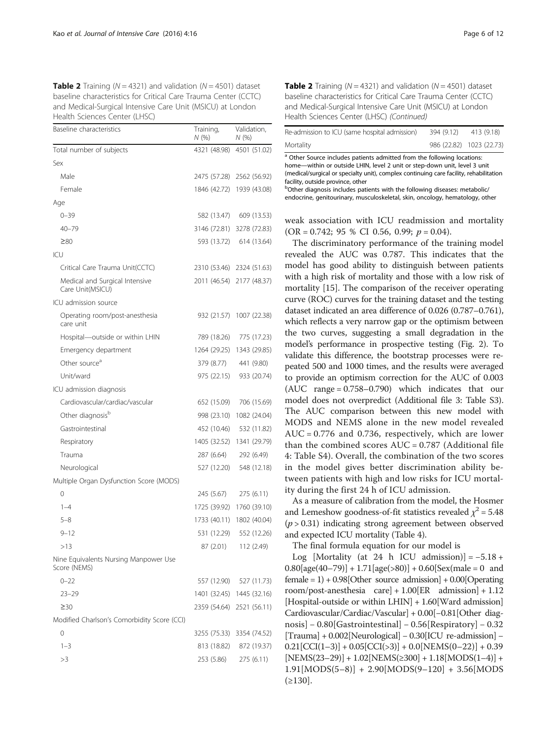<span id="page-5-0"></span>**Table 2** Training ( $N = 4321$ ) and validation ( $N = 4501$ ) dataset baseline characteristics for Critical Care Trauma Center (CCTC) and Medical-Surgical Intensive Care Unit (MSICU) at London Health Sciences Center (LHSC)

| Baseline characteristics                              | Training,<br>N(%) | Validation,<br>N (%) |
|-------------------------------------------------------|-------------------|----------------------|
| Total number of subjects                              | 4321 (48.98)      | 4501 (51.02)         |
| Sex                                                   |                   |                      |
| Male                                                  | 2475 (57.28)      | 2562 (56.92)         |
| Female                                                | 1846 (42.72)      | 1939 (43.08)         |
| Age                                                   |                   |                      |
| $0 - 39$                                              | 582 (13.47)       | 609 (13.53)          |
| $40 - 79$                                             | 3146 (72.81)      | 3278 (72.83)         |
| $\geq 80$                                             | 593 (13.72)       | 614 (13.64)          |
| ICU                                                   |                   |                      |
| Critical Care Trauma Unit(CCTC)                       | 2310 (53.46)      | 2324 (51.63)         |
| Medical and Surgical Intensive<br>Care Unit(MSICU)    | 2011 (46.54)      | 2177 (48.37)         |
| ICU admission source                                  |                   |                      |
| Operating room/post-anesthesia<br>care unit           | 932 (21.57)       | 1007 (22.38)         |
| Hospital-outside or within LHIN                       | 789 (18.26)       | 775 (17.23)          |
| Emergency department                                  | 1264 (29.25)      | 1343 (29.85)         |
| Other source <sup>a</sup>                             | 379 (8.77)        | 441 (9.80)           |
| Unit/ward                                             | 975 (22.15)       | 933 (20.74)          |
| ICU admission diagnosis                               |                   |                      |
| Cardiovascular/cardiac/vascular                       | 652 (15.09)       | 706 (15.69)          |
| Other diagnosis <sup>b</sup>                          | 998 (23.10)       | 1082 (24.04)         |
| Gastrointestinal                                      | 452 (10.46)       | 532 (11.82)          |
| Respiratory                                           | 1405 (32.52)      | 1341 (29.79)         |
| Trauma                                                | 287 (6.64)        | 292 (6.49)           |
| Neurological                                          | 527 (12.20)       | 548 (12.18)          |
| Multiple Organ Dysfunction Score (MODS)               |                   |                      |
| 0                                                     | 245 (5.67)        | 275(6.11)            |
| $1 - 4$                                               | 1725 (39.92)      | 1760 (39.10)         |
| 5-8                                                   | 1733 (40.11)      | 1802 (40.04)         |
| $9 - 12$                                              | 531 (12.29)       | 552 (12.26)          |
| >13                                                   | 87 (2.01)         | 112 (2.49)           |
| Nine Equivalents Nursing Manpower Use<br>Score (NEMS) |                   |                      |
| $0 - 22$                                              | 557 (12.90)       | 527 (11.73)          |
| $23 - 29$                                             | 1401 (32.45)      | 1445 (32.16)         |
| $\geq$ 30                                             | 2359 (54.64)      | 2521 (56.11)         |
| Modified Charlson's Comorbidity Score (CCI)           |                   |                      |
| 0                                                     | 3255 (75.33)      | 3354 (74.52)         |
| $1 - 3$                                               | 813 (18.82)       | 872 (19.37)          |
| >3                                                    | 253 (5.86)        | 275(6.11)            |

| <b>Table 2</b> Training ( $N = 4321$ ) and validation ( $N = 4501$ ) dataset |
|------------------------------------------------------------------------------|
| baseline characteristics for Critical Care Trauma Center (CCTC)              |
| and Medical-Surgical Intensive Care Unit (MSICU) at London                   |
| Health Sciences Center (LHSC) (Continued)                                    |

| Re-admission to ICU (same hospital admission) | 394 (9.12) | 413 (9.18)               |
|-----------------------------------------------|------------|--------------------------|
| Mortality                                     |            | 986 (22.82) 1023 (22.73) |

<sup>a</sup> Other Source includes patients admitted from the following locations: home—within or outside LHIN, level 2 unit or step-down unit, level 3 unit (medical/surgical or specialty unit), complex continuing care facility, rehabilitation facility, outside province, other

bOther diagnosis includes patients with the following diseases: metabolic/ endocrine, genitourinary, musculoskeletal, skin, oncology, hematology, other

weak association with ICU readmission and mortality  $(OR = 0.742; 95 % CI 0.56, 0.99; p = 0.04).$ 

The discriminatory performance of the training model revealed the AUC was 0.787. This indicates that the model has good ability to distinguish between patients with a high risk of mortality and those with a low risk of mortality [\[15](#page-10-0)]. The comparison of the receiver operating curve (ROC) curves for the training dataset and the testing dataset indicated an area difference of 0.026 (0.787–0.761), which reflects a very narrow gap or the optimism between the two curves, suggesting a small degradation in the model's performance in prospective testing (Fig. [2](#page-7-0)). To validate this difference, the bootstrap processes were repeated 500 and 1000 times, and the results were averaged to provide an optimism correction for the AUC of 0.003 (AUC range = 0.758–0.790) which indicates that our model does not overpredict (Additional file [3](#page-9-0): Table S3). The AUC comparison between this new model with MODS and NEMS alone in the new model revealed AUC = 0.776 and 0.736, respectively, which are lower than the combined scores  $AUC = 0.787$  (Additional file [4:](#page-9-0) Table S4). Overall, the combination of the two scores in the model gives better discrimination ability between patients with high and low risks for ICU mortality during the first 24 h of ICU admission.

As a measure of calibration from the model, the Hosmer and Lemeshow goodness-of-fit statistics revealed  $\chi^2$  = 5.48  $(p > 0.31)$  indicating strong agreement between observed and expected ICU mortality (Table [4](#page-7-0)).

The final formula equation for our model is

Log [Mortality (at 24 h ICU admission)] =  $-5.18 +$  $0.80[age(40–79)] + 1.71[age(>80)] + 0.60[Sex(male = 0 and$ female = 1) + 0.98[Other source admission] + 0.00[Operating room/post-anesthesia care] + 1.00[ER admission] + 1.12 [Hospital-outside or within LHIN] + 1.60[Ward admission] Cardiovascular/Cardiac/Vascular] + 0.00[−0.81[Other diagnosis] − 0.80[Gastrointestinal] − 0.56[Respiratory] − 0.32 [Trauma] + 0.002[Neurological] − 0.30[ICU re-admission] −  $0.21[CCI(1-3)] + 0.05[CCI(>3)] + 0.0[NEMS(0-22)] + 0.39$  $[NEMS(23-29)] + 1.02[NEMS(2300] + 1.18[MODS(1-4)] +$  $1.91[MODS(5-8)] + 2.90[MODS(9-120] + 3.56[MODS]$  $(≥130]$ .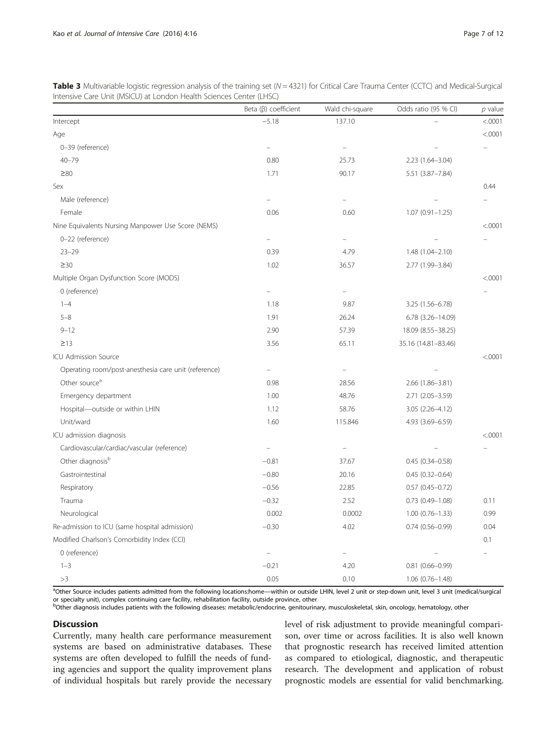<span id="page-6-0"></span>**Table 3** Multivariable logistic regression analysis of the training set ( $N = 4321$ ) for Critical Care Trauma Center (CCTC) and Medical-Surgical Intensive Care Unit (MSICU) at London Health Sciences Center (LHSC)

|                                                      | Beta $(\beta)$ coefficient | Wald chi-square | Odds ratio (95 % CI) | $p$ value |
|------------------------------------------------------|----------------------------|-----------------|----------------------|-----------|
| Intercept                                            | $-5.18$                    | 137.10          |                      | < .0001   |
| Age                                                  |                            |                 |                      | < .0001   |
| 0-39 (reference)                                     |                            | $\equiv$        |                      |           |
| $40 - 79$                                            | 0.80                       | 25.73           | 2.23 (1.64-3.04)     |           |
| $\geq 80$                                            | 1.71                       | 90.17           | 5.51 (3.87-7.84)     |           |
| Sex                                                  |                            |                 |                      | 0.44      |
| Male (reference)                                     |                            | L.              |                      |           |
| Female                                               | 0.06                       | 0.60            | $1.07(0.91 - 1.25)$  |           |
| Nine Equivalents Nursing Manpower Use Score (NEMS)   |                            |                 |                      | < .0001   |
| 0-22 (reference)                                     |                            |                 |                      |           |
| $23 - 29$                                            | 0.39                       | 4.79            | 1.48 (1.04-2.10)     |           |
| $\geq$ 30                                            | 1.02                       | 36.57           | 2.77 (1.99-3.84)     |           |
| Multiple Organ Dysfunction Score (MODS)              |                            |                 |                      | < .0001   |
| 0 (reference)                                        |                            | $\equiv$        |                      |           |
| $1 - 4$                                              | 1.18                       | 9.87            | 3.25 (1.56-6.78)     |           |
| $5 - 8$                                              | 1.91                       | 26.24           | 6.78 (3.26-14.09)    |           |
| $9 - 12$                                             | 2.90                       | 57.39           | 18.09 (8.55-38.25)   |           |
| $\geq$ 13                                            | 3.56                       | 65.11           | 35.16 (14.81-83.46)  |           |
| ICU Admission Source                                 |                            |                 |                      | < .0001   |
| Operating room/post-anesthesia care unit (reference) | $\equiv$                   | $\equiv$        |                      |           |
| Other source <sup>a</sup>                            | 0.98                       | 28.56           | 2.66 (1.86-3.81)     |           |
| Emergency department                                 | 1.00                       | 48.76           | 2.71 (2.05-3.59)     |           |
| Hospital-outside or within LHIN                      | 1.12                       | 58.76           | 3.05 (2.26-4.12)     |           |
| Unit/ward                                            | 1.60                       | 115.846         | 4.93 (3.69-6.59)     |           |
| ICU admission diagnosis                              |                            |                 |                      | < .0001   |
| Cardiovascular/cardiac/vascular (reference)          | ÷                          |                 |                      |           |
| Other diagnosis <sup>b</sup>                         | $-0.81$                    | 37.67           | $0.45(0.34 - 0.58)$  |           |
| Gastrointestinal                                     | $-0.80$                    | 20.16           | $0.45(0.32 - 0.64)$  |           |
| Respiratory                                          | $-0.56$                    | 22.85           | $0.57(0.45 - 0.72)$  |           |
| Trauma                                               | $-0.32$                    | 2.52            | $0.73(0.49 - 1.08)$  | 0.11      |
| Neurological                                         | 0.002                      | 0.0002          | $1.00(0.76 - 1.33)$  | 0.99      |
| Re-admission to ICU (same hospital admission)        | $-0.30$                    | 4.02            | $0.74(0.56 - 0.99)$  | 0.04      |
| Modified Charlson's Comorbidity Index (CCI)          |                            |                 |                      | 0.1       |
| 0 (reference)                                        |                            |                 |                      |           |
| $1 - 3$                                              | $-0.21$                    | 4.20            | $0.81(0.66 - 0.99)$  |           |
| >3                                                   | 0.05                       | 0.10            | 1.06 (0.76-1.48)     |           |

<sup>a</sup>Other Source includes patients admitted from the following locations:home—within or outside LHIN, level 2 unit or step-down unit, level 3 unit (medical/surgical or specialty unit), complex continuing care facility, rehabilitation facility, outside province, other

b<br>Other diagnosis includes patients with the following diseases: metabolic/endocrine, genitourinary, musculoskeletal, skin, oncology, hematology, other

## **Discussion**

Currently, many health care performance measurement systems are based on administrative databases. These systems are often developed to fulfill the needs of funding agencies and support the quality improvement plans of individual hospitals but rarely provide the necessary

level of risk adjustment to provide meaningful comparison, over time or across facilities. It is also well known that prognostic research has received limited attention as compared to etiological, diagnostic, and therapeutic research. The development and application of robust prognostic models are essential for valid benchmarking.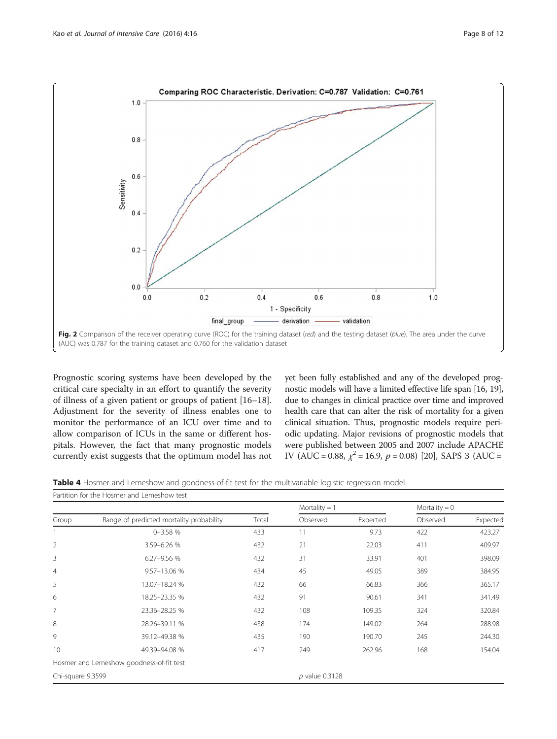<span id="page-7-0"></span>

Prognostic scoring systems have been developed by the critical care specialty in an effort to quantify the severity of illness of a given patient or groups of patient [[16](#page-10-0)–[18](#page-10-0)]. Adjustment for the severity of illness enables one to monitor the performance of an ICU over time and to allow comparison of ICUs in the same or different hospitals. However, the fact that many prognostic models currently exist suggests that the optimum model has not yet been fully established and any of the developed prognostic models will have a limited effective life span [[16](#page-10-0), [19](#page-10-0)], due to changes in clinical practice over time and improved health care that can alter the risk of mortality for a given clinical situation. Thus, prognostic models require periodic updating. Major revisions of prognostic models that were published between 2005 and 2007 include APACHE IV (AUC = 0.88,  $\chi^2$  = 16.9,  $p$  = 0.08) [\[20\]](#page-10-0), SAPS 3 (AUC =

Table 4 Hosmer and Lemeshow and goodness-of-fit test for the multivariable logistic regression model

|                   |                                          |       | Mortality $= 1$  |          | Mortality = $0$ |          |
|-------------------|------------------------------------------|-------|------------------|----------|-----------------|----------|
| Group             | Range of predicted mortality probability | Total | Observed         | Expected | Observed        | Expected |
|                   | $0 - 3.58%$                              | 433   | 11               | 9.73     | 422             | 423.27   |
| $\overline{2}$    | 3.59-6.26 %                              | 432   | 21               | 22.03    | 411             | 409.97   |
| 3                 | 6.27-9.56 %                              | 432   | 31               | 33.91    | 401             | 398.09   |
| $\overline{4}$    | 9.57-13.06 %                             | 434   | 45               | 49.05    | 389             | 384.95   |
| 5                 | 13.07-18.24 %                            | 432   | 66               | 66.83    | 366             | 365.17   |
| 6                 | 18.25-23.35 %                            | 432   | 91               | 90.61    | 341             | 341.49   |
| $\overline{7}$    | 23.36-28.25 %                            | 432   | 108              | 109.35   | 324             | 320.84   |
| 8                 | 28.26-39.11 %                            | 438   | 174              | 149.02   | 264             | 288.98   |
| 9                 | 39.12-49.38 %                            | 435   | 190              | 190.70   | 245             | 244.30   |
| 10                | 49.39-94.08 %                            | 417   | 249              | 262.96   | 168             | 154.04   |
|                   | Hosmer and Lemeshow goodness-of-fit test |       |                  |          |                 |          |
| Chi-square 9.3599 |                                          |       | $p$ value 0.3128 |          |                 |          |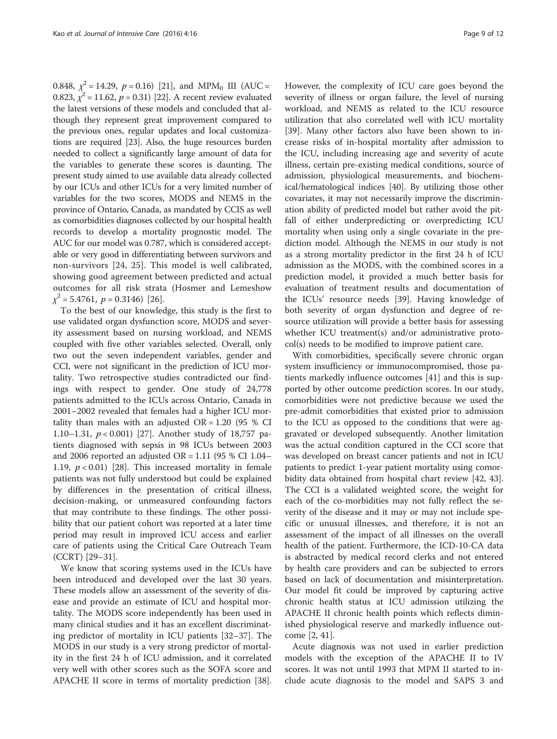0.848,  $\chi^2 = 14.29$ ,  $p = 0.16$ ) [\[21](#page-10-0)], and MPM<sub>0</sub> III (AUC = 0.823,  $\chi^2$  = 11.62, p = 0.31) [[22](#page-10-0)]. A recent review evaluated the latest versions of these models and concluded that although they represent great improvement compared to the previous ones, regular updates and local customizations are required [\[23\]](#page-10-0). Also, the huge resources burden needed to collect a significantly large amount of data for the variables to generate these scores is daunting. The present study aimed to use available data already collected by our ICUs and other ICUs for a very limited number of variables for the two scores, MODS and NEMS in the province of Ontario, Canada, as mandated by CCIS as well as comorbidities diagnoses collected by our hospital health records to develop a mortality prognostic model. The AUC for our model was 0.787, which is considered acceptable or very good in differentiating between survivors and non-survivors [[24, 25\]](#page-10-0). This model is well calibrated, showing good agreement between predicted and actual outcomes for all risk strata (Hosmer and Lemeshow  $\chi^2$  = 5.4761, p = 0.3146) [[26\]](#page-10-0).

To the best of our knowledge, this study is the first to use validated organ dysfunction score, MODS and severity assessment based on nursing workload, and NEMS coupled with five other variables selected. Overall, only two out the seven independent variables, gender and CCI, were not significant in the prediction of ICU mortality. Two retrospective studies contradicted our findings with respect to gender. One study of 24,778 patients admitted to the ICUs across Ontario, Canada in 2001–2002 revealed that females had a higher ICU mortality than males with an adjusted  $OR = 1.20$  (95 % CI 1.10–1.31, p < 0.001) [[27\]](#page-10-0). Another study of 18,757 patients diagnosed with sepsis in 98 ICUs between 2003 and 2006 reported an adjusted OR =  $1.11$  (95 % CI 1.04– 1.19,  $p < 0.01$  [[28\]](#page-10-0). This increased mortality in female patients was not fully understood but could be explained by differences in the presentation of critical illness, decision-making, or unmeasured confounding factors that may contribute to these findings. The other possibility that our patient cohort was reported at a later time period may result in improved ICU access and earlier care of patients using the Critical Care Outreach Team (CCRT) [[29](#page-10-0)–[31](#page-10-0)].

We know that scoring systems used in the ICUs have been introduced and developed over the last 30 years. These models allow an assessment of the severity of disease and provide an estimate of ICU and hospital mortality. The MODS score independently has been used in many clinical studies and it has an excellent discriminating predictor of mortality in ICU patients [[32](#page-10-0)–[37](#page-10-0)]. The MODS in our study is a very strong predictor of mortality in the first 24 h of ICU admission, and it correlated very well with other scores such as the SOFA score and APACHE II score in terms of mortality prediction [\[38](#page-10-0)]. However, the complexity of ICU care goes beyond the severity of illness or organ failure, the level of nursing workload, and NEMS as related to the ICU resource utilization that also correlated well with ICU mortality [[39\]](#page-10-0). Many other factors also have been shown to increase risks of in-hospital mortality after admission to the ICU, including increasing age and severity of acute illness, certain pre-existing medical conditions, source of admission, physiological measurements, and biochemical/hematological indices [\[40](#page-10-0)]. By utilizing those other covariates, it may not necessarily improve the discrimination ability of predicted model but rather avoid the pitfall of either underpredicting or overpredicting ICU mortality when using only a single covariate in the prediction model. Although the NEMS in our study is not as a strong mortality predictor in the first 24 h of ICU admission as the MODS, with the combined scores in a prediction model, it provided a much better basis for evaluation of treatment results and documentation of the ICUs' resource needs [\[39\]](#page-10-0). Having knowledge of both severity of organ dysfunction and degree of resource utilization will provide a better basis for assessing whether ICU treatment(s) and/or administrative protocol(s) needs to be modified to improve patient care.

With comorbidities, specifically severe chronic organ system insufficiency or immunocompromised, those patients markedly influence outcomes [\[41](#page-10-0)] and this is supported by other outcome prediction scores. In our study, comorbidities were not predictive because we used the pre-admit comorbidities that existed prior to admission to the ICU as opposed to the conditions that were aggravated or developed subsequently. Another limitation was the actual condition captured in the CCI score that was developed on breast cancer patients and not in ICU patients to predict 1-year patient mortality using comorbidity data obtained from hospital chart review [[42, 43](#page-10-0)]. The CCI is a validated weighted score, the weight for each of the co-morbidities may not fully reflect the severity of the disease and it may or may not include specific or unusual illnesses, and therefore, it is not an assessment of the impact of all illnesses on the overall health of the patient. Furthermore, the ICD-10-CA data is abstracted by medical record clerks and not entered by health care providers and can be subjected to errors based on lack of documentation and misinterpretation. Our model fit could be improved by capturing active chronic health status at ICU admission utilizing the APACHE II chronic health points which reflects diminished physiological reserve and markedly influence outcome [[2, 41\]](#page-10-0).

Acute diagnosis was not used in earlier prediction models with the exception of the APACHE II to IV scores. It was not until 1993 that MPM II started to include acute diagnosis to the model and SAPS 3 and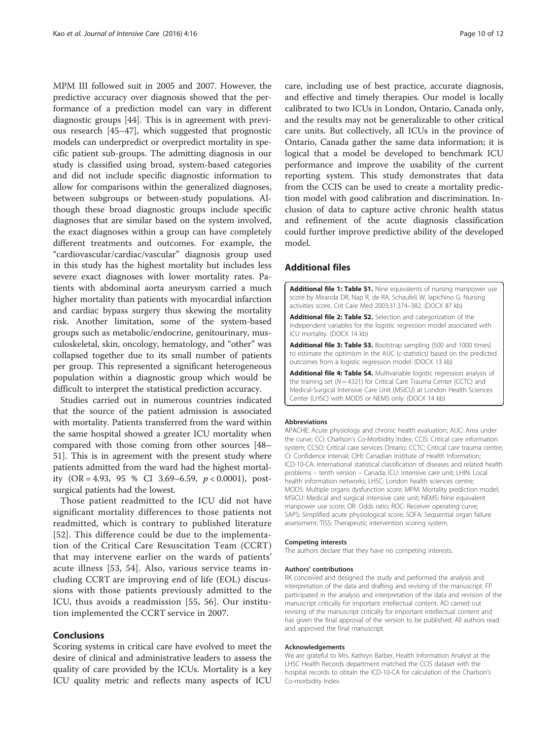<span id="page-9-0"></span>MPM III followed suit in 2005 and 2007. However, the predictive accuracy over diagnosis showed that the performance of a prediction model can vary in different diagnostic groups [\[44](#page-10-0)]. This is in agreement with previous research [[45](#page-10-0)–[47](#page-11-0)], which suggested that prognostic models can underpredict or overpredict mortality in specific patient sub-groups. The admitting diagnosis in our study is classified using broad, system-based categories and did not include specific diagnostic information to allow for comparisons within the generalized diagnoses, between subgroups or between-study populations. Although these broad diagnostic groups include specific diagnoses that are similar based on the system involved, the exact diagnoses within a group can have completely different treatments and outcomes. For example, the "cardiovascular/cardiac/vascular" diagnosis group used in this study has the highest mortality but includes less severe exact diagnoses with lower mortality rates. Patients with abdominal aorta aneurysm carried a much higher mortality than patients with myocardial infarction and cardiac bypass surgery thus skewing the mortality risk. Another limitation, some of the system-based groups such as metabolic/endocrine, genitourinary, musculoskeletal, skin, oncology, hematology, and "other" was collapsed together due to its small number of patients per group. This represented a significant heterogeneous population within a diagnostic group which would be difficult to interpret the statistical prediction accuracy.

Studies carried out in numerous countries indicated that the source of the patient admission is associated with mortality. Patients transferred from the ward within the same hospital showed a greater ICU mortality when compared with those coming from other sources [[48](#page-11-0)– [51\]](#page-11-0). This is in agreement with the present study where patients admitted from the ward had the highest mortality (OR = 4.93, 95 % CI 3.69–6.59,  $p < 0.0001$ ), postsurgical patients had the lowest.

Those patient readmitted to the ICU did not have significant mortality differences to those patients not readmitted, which is contrary to published literature [[52](#page-11-0)]. This difference could be due to the implementation of the Critical Care Resuscitation Team (CCRT) that may intervene earlier on the wards of patients' acute illness [[53, 54\]](#page-11-0). Also, various service teams including CCRT are improving end of life (EOL) discussions with those patients previously admitted to the ICU, thus avoids a readmission [\[55, 56](#page-11-0)]. Our institution implemented the CCRT service in 2007.

## Conclusions

Scoring systems in critical care have evolved to meet the desire of clinical and administrative leaders to assess the quality of care provided by the ICUs. Mortality is a key ICU quality metric and reflects many aspects of ICU

care, including use of best practice, accurate diagnosis, and effective and timely therapies. Our model is locally calibrated to two ICUs in London, Ontario, Canada only, and the results may not be generalizable to other critical care units. But collectively, all ICUs in the province of Ontario, Canada gather the same data information; it is logical that a model be developed to benchmark ICU performance and improve the usability of the current reporting system. This study demonstrates that data from the CCIS can be used to create a mortality prediction model with good calibration and discrimination. Inclusion of data to capture active chronic health status and refinement of the acute diagnosis classification could further improve predictive ability of the developed model.

## Additional files

[Additional file 1: Table S1.](dx.doi.org/10.1186/s40560-016-0143-6) Nine equivalents of nursing manpower use score by Miranda DR, Nap R, de RA, Schaufeli W, Iapichino G. Nursing activities score. Crit Care Med 2003;31:374–382. (DOCX 87 kb)

[Additional file 2: Table S2.](dx.doi.org/10.1186/s40560-016-0143-6) Selection and categorization of the independent variables for the logistic regression model associated with ICU mortality. (DOCX 14 kb)

[Additional file 3: Table S3.](dx.doi.org/10.1186/s40560-016-0143-6) Bootstrap sampling (500 and 1000 times) to estimate the optimism in the AUC (c-statistics) based on the predicted outcomes from a logistic regression model. (DOCX 13 kb)

[Additional file 4: Table S4.](dx.doi.org/10.1186/s40560-016-0143-6) Multivariable logistic regression analysis of the training set ( $N = 4321$ ) for Critical Care Trauma Center (CCTC) and Medical-Surgical Intensive Care Unit (MSICU) at London Health Sciences Center (LHSC) with MODS or NEMS only. (DOCX 14 kb)

#### Abbreviations

APACHE: Acute physiology and chronic health evaluation; AUC: Area under the curve; CCI: Charlson's Co-Morbidity Index; CCIS: Critical care information system; CCSO: Critical care services Ontario; CCTC: Critical care trauma centre; CI: Confidence interval; CIHI: Canadian Institute of Health Information; ICD-10-CA: International statistical classification of diseases and related health problems – tenth version – Canada; ICU: Intensive care unit; LHIN: Local health information networks; LHSC: London health sciences centre; MODS: Multiple organs dysfunction score; MPM: Mortality prediction model; MSICU: Medical and surgical intensive care unit; NEMS: Nine equivalent manpower use score; OR: Odds ratio; ROC: Receiver operating curve; SAPS: Simplified acute physiological score; SOFA: Sequential organ failure assessment; TISS: Therapeutic intervention scoring system.

#### Competing interests

The authors declare that they have no competing interests.

#### Authors' contributions

RK conceived and designed the study and performed the analysis and interpretation of the data and drafting and revising of the manuscript. FP participated in the analysis and interpretation of the data and revision of the manuscript critically for important intellectual content. AD carried out revising of the manuscript critically for important intellectual content and has given the final approval of the version to be published. All authors read and approved the final manuscript.

#### Acknowledgements

We are grateful to Mrs. Kathryn Barber, Health Information Analyst at the LHSC Health Records department matched the CCIS dataset with the hospital records to obtain the ICD-10-CA for calculation of the Charlson's Co-morbidity Index.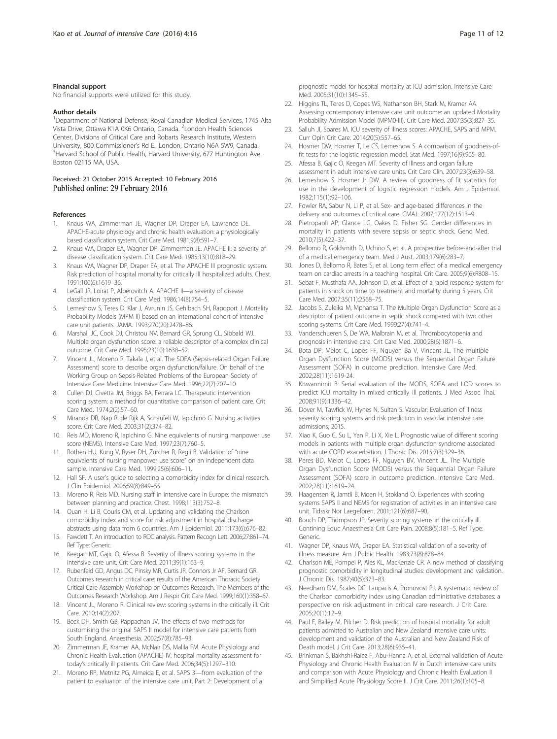#### <span id="page-10-0"></span>Financial support

No financial supports were utilized for this study.

#### Author details

<sup>1</sup>Department of National Defense, Royal Canadian Medical Services, 1745 Alta Vista Drive, Ottawa K1A 0K6 Ontario, Canada. <sup>2</sup>London Health Sciences Center, Divisions of Critical Care and Robarts Research Institute, Western University, 800 Commissioner's Rd E., London, Ontario N6A 5W9, Canada. <sup>3</sup> <sup>3</sup>Harvard School of Public Health, Harvard University, 677 Huntington Ave., Boston 02115 MA, USA.

# Received: 21 October 2015 Accepted: 10 February 2016<br>Published online: 29 February 2016

#### References

- 1. Knaus WA, Zimmerman JE, Wagner DP, Draper EA, Lawrence DE. APACHE-acute physiology and chronic health evaluation: a physiologically based classification system. Crit Care Med. 1981;9(8):591–7.
- 2. Knaus WA, Draper EA, Wagner DP, Zimmerman JE. APACHE II: a severity of disease classification system. Crit Care Med. 1985;13(10):818–29.
- Knaus WA, Wagner DP, Draper EA, et al. The APACHE III prognostic system. Risk prediction of hospital mortality for critically ill hospitalized adults. Chest. 1991;100(6):1619–36.
- 4. LeGall JR, Loirat P, Alperovitch A. APACHE II-a severity of disease classification system. Crit Care Med. 1986;14(8):754–5.
- 5. Lemeshow S, Teres D, Klar J, Avrunin JS, Gehlbach SH, Rapoport J. Mortality Probability Models (MPM II) based on an international cohort of intensive care unit patients. JAMA. 1993;270(20):2478–86.
- 6. Marshall JC, Cook DJ, Christou NV, Bernard GR, Sprung CL, Sibbald WJ. Multiple organ dysfunction score: a reliable descriptor of a complex clinical outcome. Crit Care Med. 1995;23(10):1638–52.
- 7. Vincent JL, Moreno R, Takala J, et al. The SOFA (Sepsis-related Organ Failure Assessment) score to describe organ dysfunction/failure. On behalf of the Working Group on Sepsis-Related Problems of the European Society of Intensive Care Medicine. Intensive Care Med. 1996;22(7):707–10.
- 8. Cullen DJ, Civetta JM, Briggs BA, Ferrara LC. Therapeutic intervention scoring system: a method for quantitative comparison of patient care. Crit Care Med. 1974;2(2):57–60.
- 9. Miranda DR, Nap R, de Rijk A, Schaufeli W, Iapichino G. Nursing activities score. Crit Care Med. 2003;31(2):374–82.
- 10. Reis MD, Moreno R, Iapichino G. Nine equivalents of nursing manpower use score (NEMS). Intensive Care Med. 1997;23(7):760–5.
- 11. Rothen HU, Kung V, Ryser DH, Zurcher R, Regli B. Validation of "nine equivalents of nursing manpower use score" on an independent data sample. Intensive Care Med. 1999;25(6):606–11.
- 12. Hall SF. A user's guide to selecting a comorbidity index for clinical research. J Clin Epidemiol. 2006;59(8):849–55.
- 13. Moreno R, Reis MD. Nursing staff in intensive care in Europe: the mismatch between planning and practice. Chest. 1998;113(3):752–8.
- 14. Quan H, Li B, Couris CM, et al. Updating and validating the Charlson comorbidity index and score for risk adjustment in hospital discharge abstracts using data from 6 countries. Am J Epidemiol. 2011;173(6):676–82.
- 15. Fawdett T. An introduction to ROC analysis. Pattern Recogn Lett. 2006;27:861–74. Ref Type: Generic.
- 16. Keegan MT, Gajic O, Afessa B. Severity of illness scoring systems in the intensive care unit. Crit Care Med. 2011;39(1):163–9.
- 17. Rubenfeld GD, Angus DC, Pinsky MR, Curtis JR, Connors Jr AF, Bernard GR. Outcomes research in critical care: results of the American Thoracic Society Critical Care Assembly Workshop on Outcomes Research. The Members of the Outcomes Research Workshop. Am J Respir Crit Care Med. 1999;160(1):358–67.
- 18. Vincent JL, Moreno R. Clinical review: scoring systems in the critically ill. Crit Care. 2010;14(2):207.
- 19. Beck DH, Smith GB, Pappachan JV. The effects of two methods for customising the original SAPS II model for intensive care patients from South England. Anaesthesia. 2002;57(8):785–93.
- 20. Zimmerman JE, Kramer AA, McNair DS, Malila FM. Acute Physiology and Chronic Health Evaluation (APACHE) IV: hospital mortality assessment for today's critically ill patients. Crit Care Med. 2006;34(5):1297–310.
- 21. Moreno RP, Metnitz PG, Almeida E, et al. SAPS 3—from evaluation of the patient to evaluation of the intensive care unit. Part 2: Development of a
- 22. Higgins TL, Teres D, Copes WS, Nathanson BH, Stark M, Kramer AA. Assessing contemporary intensive care unit outcome: an updated Mortality Probability Admission Model (MPM0-III). Crit Care Med. 2007;35(3):827–35.
- 23. Salluh JI, Soares M. ICU severity of illness scores: APACHE, SAPS and MPM. Curr Opin Crit Care. 2014;20(5):557–65.
- 24. Hosmer DW, Hosmer T, Le CS, Lemeshow S. A comparison of goodness-offit tests for the logistic regression model. Stat Med. 1997;16(9):965–80.
- 25. Afessa B, Gajic O, Keegan MT. Severity of illness and organ failure assessment in adult intensive care units. Crit Care Clin. 2007;23(3):639–58.
- 26. Lemeshow S, Hosmer Jr DW. A review of goodness of fit statistics for use in the development of logistic regression models. Am J Epidemiol. 1982;115(1):92–106.
- 27. Fowler RA, Sabur N, Li P, et al. Sex- and age-based differences in the delivery and outcomes of critical care. CMAJ. 2007;177(12):1513–9.
- 28. Pietropaoli AP, Glance LG, Oakes D, Fisher SG. Gender differences in mortality in patients with severe sepsis or septic shock. Gend Med. 2010;7(5):422–37.
- 29. Bellomo R, Goldsmith D, Uchino S, et al. A prospective before-and-after trial of a medical emergency team. Med J Aust. 2003;179(6):283–7.
- 30. Jones D, Bellomo R, Bates S, et al. Long term effect of a medical emergency team on cardiac arrests in a teaching hospital. Crit Care. 2005;9(6):R808–15.
- 31. Sebat F, Musthafa AA, Johnson D, et al. Effect of a rapid response system for patients in shock on time to treatment and mortality during 5 years. Crit Care Med. 2007;35(11):2568–75.
- 32. Jacobs S, Zuleika M, Mphansa T. The Multiple Organ Dysfunction Score as a descriptor of patient outcome in septic shock compared with two other scoring systems. Crit Care Med. 1999;27(4):741–4.
- 33. Vanderschueren S, De WA, Malbrain M, et al. Thrombocytopenia and prognosis in intensive care. Crit Care Med. 2000;28(6):1871–6.
- 34. Bota DP, Melot C, Lopes FF, Nguyen Ba V, Vincent JL. The multiple Organ Dysfunction Score (MODS) versus the Sequential Organ Failure Assessment (SOFA) in outcome prediction. Intensive Care Med. 2002;28(11):1619-24.
- 35. Khwannimit B. Serial evaluation of the MODS, SOFA and LOD scores to predict ICU mortality in mixed critically ill patients. J Med Assoc Thai. 2008;91(9):1336–42.
- 36. Dover M, Tawfick W, Hynes N. Sultan S. Vascular: Evaluation of illness severity scoring systems and risk prediction in vascular intensive care admissions; 2015.
- 37. Xiao K, Guo C, Su L, Yan P, Li X, Xie L. Prognostic value of different scoring models in patients with multiple organ dysfunction syndrome associated with acute COPD exacerbation. J Thorac Dis. 2015;7(3):329–36.
- 38. Peres BD, Melot C, Lopes FF, Nguyen BV, Vincent JL. The Multiple Organ Dysfunction Score (MODS) versus the Sequential Organ Failure Assessment (SOFA) score in outcome prediction. Intensive Care Med. 2002;28(11):1619–24.
- 39. Haagensen R, Jamtli B, Moen H, Stokland O. Experiences with scoring systems SAPS II and NEMS for registration of activities in an intensive care unit. Tidsskr Nor Laegeforen. 2001;121(6):687–90.
- 40. Bouch DP, Thompson JP. Severity scoring systems in the critically ill. Contining Educ Anaesthesia Crit Care Pain. 2008;8(5):181–5. Ref Type: Generic.
- 41. Wagner DP, Knaus WA, Draper EA. Statistical validation of a severity of illness measure. Am J Public Health. 1983;73(8):878–84.
- 42. Charlson ME, Pompei P, Ales KL, MacKenzie CR. A new method of classifying prognostic comorbidity in longitudinal studies: development and validation. J Chronic Dis. 1987;40(5):373–83.
- 43. Needham DM, Scales DC, Laupacis A, Pronovost PJ. A systematic review of the Charlson comorbidity index using Canadian administrative databases: a perspective on risk adjustment in critical care research. J Crit Care. 2005;20(1):12–9.
- 44. Paul E, Bailey M, Pilcher D. Risk prediction of hospital mortality for adult patients admitted to Australian and New Zealand intensive care units: development and validation of the Australian and New Zealand Risk of Death model. J Crit Care. 2013;28(6):935–41.
- 45. Brinkman S, Bakhshi-Raiez F, Abu-Hanna A, et al. External validation of Acute Physiology and Chronic Health Evaluation IV in Dutch intensive care units and comparison with Acute Physiology and Chronic Health Evaluation II and Simplified Acute Physiology Score II. J Crit Care. 2011;26(1):105–8.